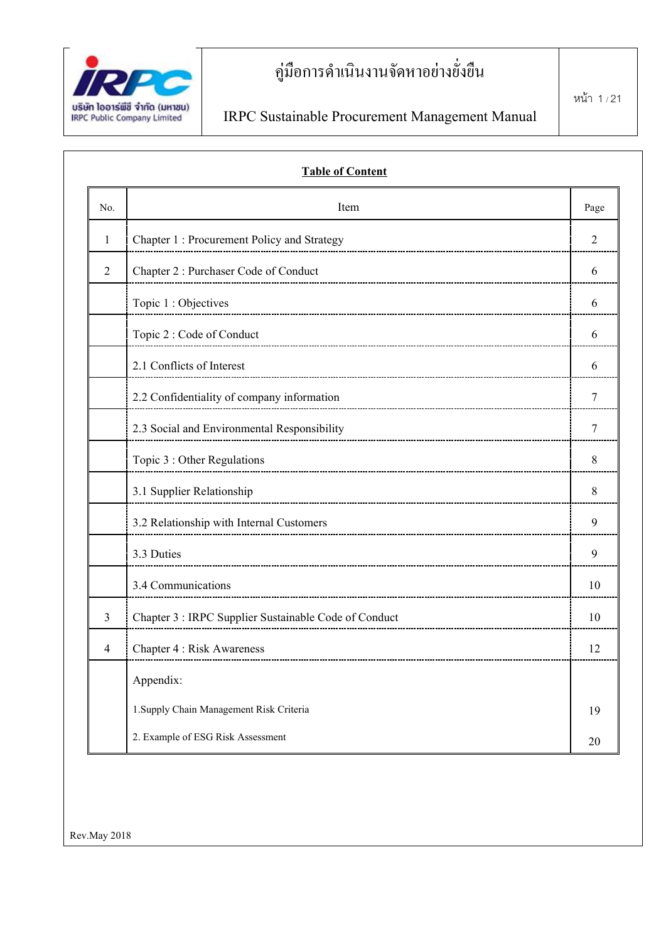

| No.            | Item                                                  | Page |
|----------------|-------------------------------------------------------|------|
| 1              | Chapter 1: Procurement Policy and Strategy            | 2    |
| $\overline{2}$ | Chapter 2: Purchaser Code of Conduct                  | 6    |
|                | Topic 1 : Objectives                                  | 6    |
|                | Topic 2 : Code of Conduct                             | 6    |
|                | 2.1 Conflicts of Interest                             | 6    |
|                | 2.2 Confidentiality of company information            | 7    |
|                | 2.3 Social and Environmental Responsibility           | 7    |
|                | Topic 3 : Other Regulations                           | 8    |
|                | 3.1 Supplier Relationship                             | 8    |
|                | 3.2 Relationship with Internal Customers              | 9    |
|                | 3.3 Duties                                            | 9    |
|                | 3.4 Communications                                    | 10   |
| 3              | Chapter 3 : IRPC Supplier Sustainable Code of Conduct | 10   |
| 4              | <b>Chapter 4 : Risk Awareness</b>                     | 12   |
|                | Appendix:                                             |      |
|                | 1. Supply Chain Management Risk Criteria              | 19   |

Rev.May 2018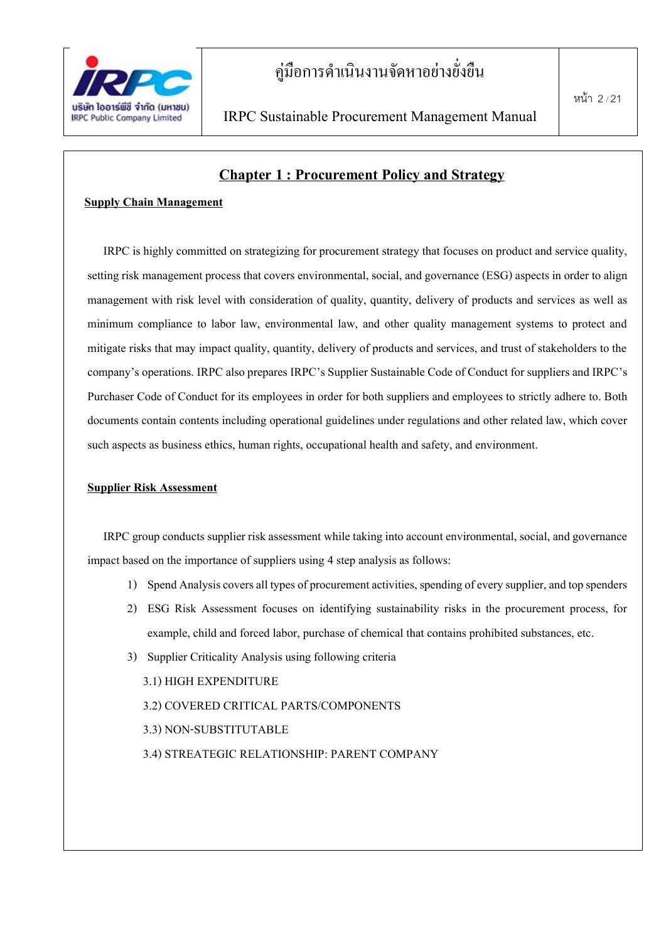

### **Chapter 1 : Procurement Policy and Strategy**

#### **Supply Chain Management**

IRPC is highly committed on strategizing for procurement strategy that focuses on product and service quality, setting risk management process that covers environmental, social, and governance (ESG) aspects in order to align management with risk level with consideration of quality, quantity, delivery of products and services as well as minimum compliance to labor law, environmental law, and other quality management systems to protect and mitigate risks that may impact quality, quantity, delivery of products and services, and trust of stakeholders to the company's operations. IRPC also prepares IRPC's Supplier Sustainable Code of Conduct for suppliers and IRPC's Purchaser Code of Conduct for its employees in order for both suppliers and employees to strictly adhere to. Both documents contain contents including operational guidelines under regulations and other related law, which cover such aspects as business ethics, human rights, occupational health and safety, and environment.

#### **Supplier Risk Assessment**

IRPC group conducts supplier risk assessment while taking into account environmental, social, and governance impact based on the importance of suppliers using 4 step analysis as follows:

- 1) Spend Analysis covers all types of procurement activities, spending of every supplier, and top spenders
- 2) ESG Risk Assessment focuses on identifying sustainability risks in the procurement process, for example, child and forced labor, purchase of chemical that contains prohibited substances, etc.
- 3) Supplier Criticality Analysis using following criteria

3.1) HIGH EXPENDITURE

3.2) COVERED CRITICAL PARTS/COMPONENTS

- 3.3) NON-SUBSTITUTABLE
- 3.4) STREATEGIC RELATIONSHIP: PARENT COMPANY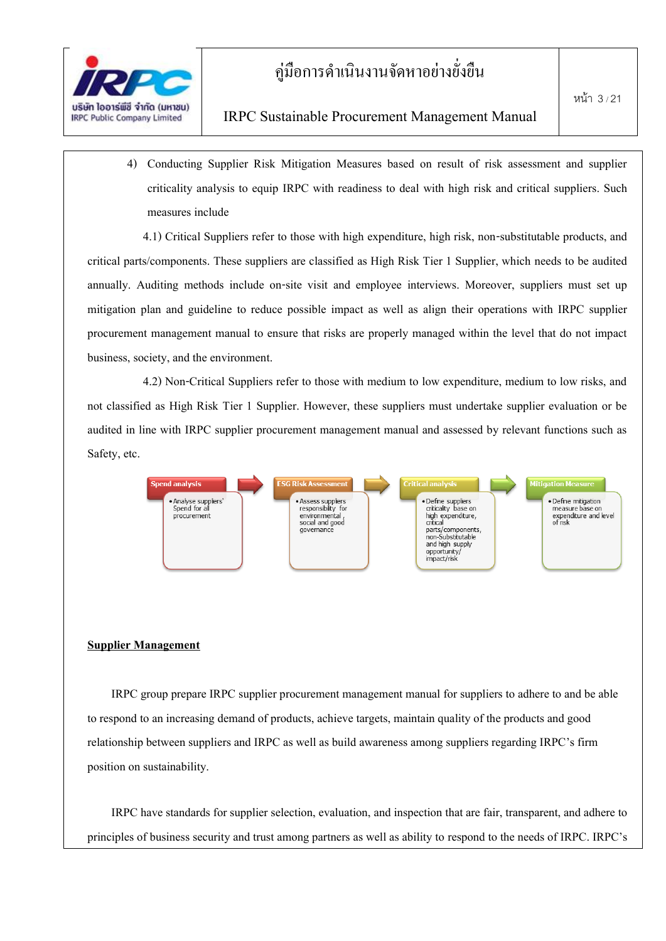

#### IRPC Sustainable Procurement Management Manual

4) Conducting Supplier Risk Mitigation Measures based on result of risk assessment and supplier criticality analysis to equip IRPC with readiness to deal with high risk and critical suppliers. Such measures include

4.1) Critical Suppliers refer to those with high expenditure, high risk, non-substitutable products, and critical parts/components. These suppliers are classified as High Risk Tier 1 Supplier, which needs to be audited annually. Auditing methods include on-site visit and employee interviews. Moreover, suppliers must set up mitigation plan and guideline to reduce possible impact as well as align their operations with IRPC supplier procurement management manual to ensure that risks are properly managed within the level that do not impact business, society, and the environment.

4.2) Non-Critical Suppliers refer to those with medium to low expenditure, medium to low risks, and not classified as High Risk Tier 1 Supplier. However, these suppliers must undertake supplier evaluation or be audited in line with IRPC supplier procurement management manual and assessed by relevant functions such as Safety, etc.



#### **Supplier Management**

IRPC group prepare IRPC supplier procurement management manual for suppliers to adhere to and be able to respond to an increasing demand of products, achieve targets, maintain quality of the products and good relationship between suppliers and IRPC as well as build awareness among suppliers regarding IRPC's firm position on sustainability.

IRPC have standards for supplier selection, evaluation, and inspection that are fair, transparent, and adhere to principles of business security and trust among partners as well as ability to respond to the needs of IRPC. IRPC's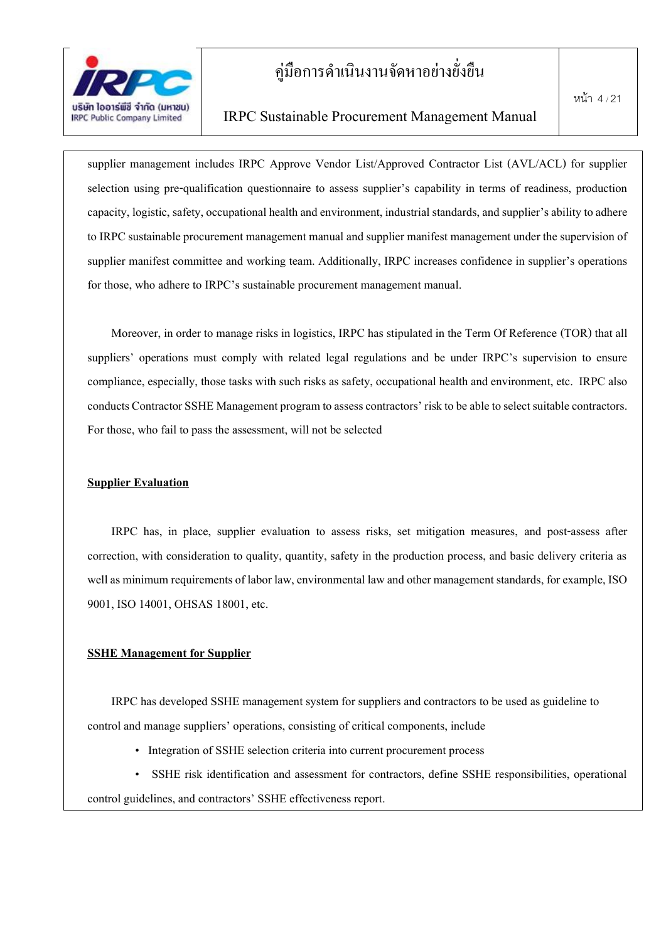

#### IRPC Sustainable Procurement Management Manual

supplier management includes IRPC Approve Vendor List/Approved Contractor List (AVL/ACL) for supplier selection using pre-qualification questionnaire to assess supplier's capability in terms of readiness, production capacity, logistic, safety, occupational health and environment, industrial standards, and supplier's ability to adhere to IRPC sustainable procurement management manual and supplier manifest management under the supervision of supplier manifest committee and working team. Additionally, IRPC increases confidence in supplier's operations for those, who adhere to IRPC's sustainable procurement management manual.

Moreover, in order to manage risks in logistics, IRPC has stipulated in the Term Of Reference (TOR) that all suppliers' operations must comply with related legal regulations and be under IRPC's supervision to ensure compliance, especially, those tasks with such risks as safety, occupational health and environment, etc. IRPC also conducts Contractor SSHE Management program to assess contractors' risk to be able to select suitable contractors. For those, who fail to pass the assessment, will not be selected

#### **Supplier Evaluation**

IRPC has, in place, supplier evaluation to assess risks, set mitigation measures, and post-assess after correction, with consideration to quality, quantity, safety in the production process, and basic delivery criteria as well as minimum requirements of labor law, environmental law and other management standards, for example, ISO 9001, ISO 14001, OHSAS 18001, etc.

#### **SSHE Management for Supplier**

IRPC has developed SSHE management system for suppliers and contractors to be used as guideline to control and manage suppliers' operations, consisting of critical components, include

• Integration of SSHE selection criteria into current procurement process

SSHE risk identification and assessment for contractors, define SSHE responsibilities, operational control guidelines, and contractors' SSHE effectiveness report.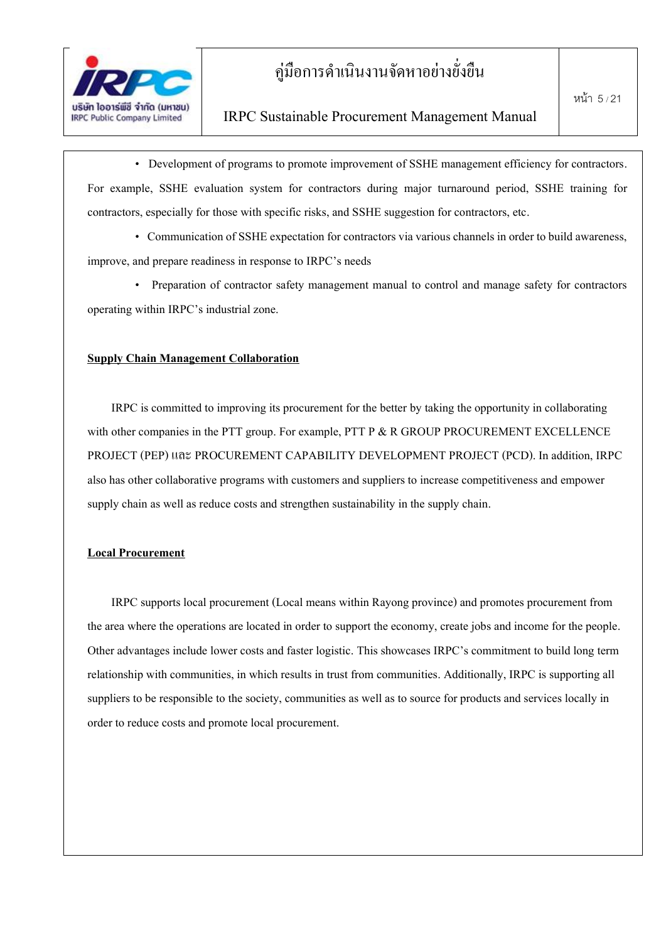

• Development of programs to promote improvement of SSHE management efficiency for contractors. For example, SSHE evaluation system for contractors during major turnaround period, SSHE training for contractors, especially for those with specific risks, and SSHE suggestion for contractors, etc.

• Communication of SSHE expectation for contractors via various channels in order to build awareness, improve, and prepare readiness in response to IRPC's needs

• Preparation of contractor safety management manual to control and manage safety for contractors operating within IRPC's industrial zone.

#### **Supply Chain Management Collaboration**

IRPC is committed to improving its procurement for the better by taking the opportunity in collaborating with other companies in the PTT group. For example, PTT P & R GROUP PROCUREMENT EXCELLENCE PROJECT (PEP) และ PROCUREMENT CAPABILITY DEVELOPMENT PROJECT (PCD). In addition, IRPC also has other collaborative programs with customers and suppliers to increase competitiveness and empower supply chain as well as reduce costs and strengthen sustainability in the supply chain.

#### **Local Procurement**

IRPC supports local procurement (Local means within Rayong province) and promotes procurement from the area where the operations are located in order to support the economy, create jobs and income for the people. Other advantages include lower costs and faster logistic. This showcases IRPC's commitment to build long term relationship with communities, in which results in trust from communities. Additionally, IRPC is supporting all suppliers to be responsible to the society, communities as well as to source for products and services locally in order to reduce costs and promote local procurement.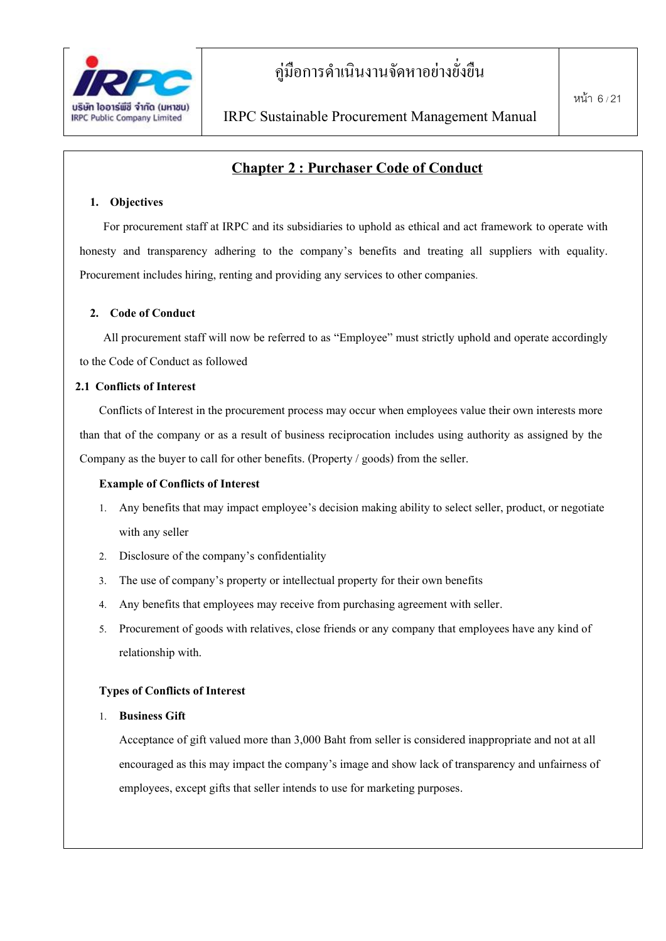

### **Chapter 2 : Purchaser Code of Conduct**

#### **1. Objectives**

For procurement staff at IRPC and its subsidiaries to uphold as ethical and act framework to operate with honesty and transparency adhering to the company's benefits and treating all suppliers with equality. Procurement includes hiring, renting and providing any services to other companies.

#### **2. Code of Conduct**

All procurement staff will now be referred to as "Employee" must strictly uphold and operate accordingly to the Code of Conduct as followed

#### **2.1 Conflicts of Interest**

Conflicts of Interest in the procurement process may occur when employees value their own interests more than that of the company or as a result of business reciprocation includes using authority as assigned by the Company as the buyer to call for other benefits. (Property / goods) from the seller.

#### **Example of Conflicts of Interest**

- 1. Any benefits that may impact employee's decision making ability to select seller, product, or negotiate with any seller
- 2. Disclosure of the company's confidentiality
- 3. The use of company's property or intellectual property for their own benefits
- 4. Any benefits that employees may receive from purchasing agreement with seller.
- 5. Procurement of goods with relatives, close friends or any company that employees have any kind of relationship with.

#### **Types of Conflicts of Interest**

#### 1. **Business Gift**

Acceptance of gift valued more than 3,000 Baht from seller is considered inappropriate and not at all encouraged as this may impact the company's image and show lack of transparency and unfairness of employees, except gifts that seller intends to use for marketing purposes.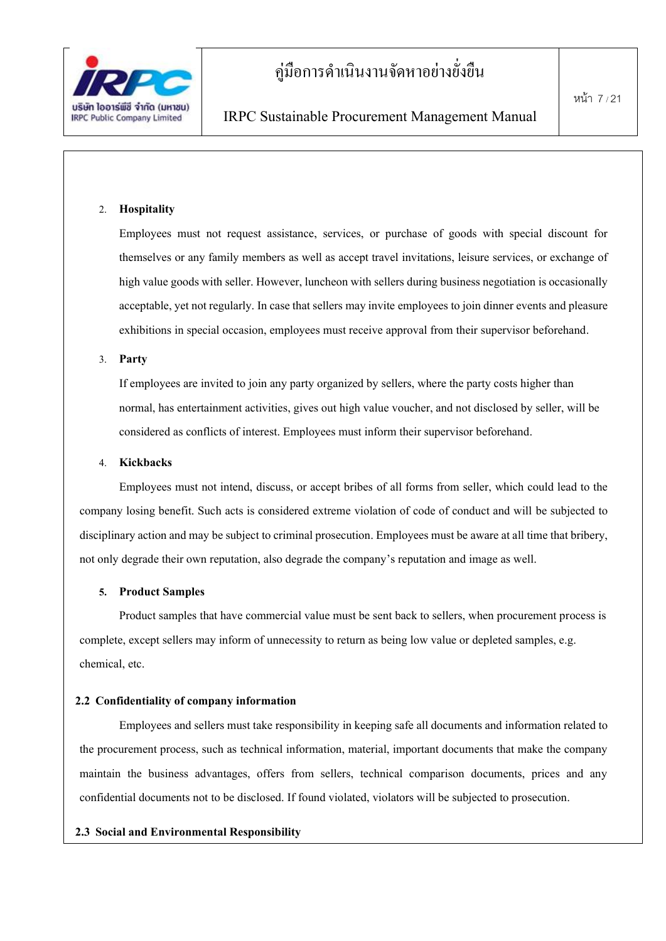

#### 2. **Hospitality**

Employees must not request assistance, services, or purchase of goods with special discount for themselves or any family members as well as accept travel invitations, leisure services, or exchange of high value goods with seller. However, luncheon with sellers during business negotiation is occasionally acceptable, yet not regularly. In case that sellers may invite employees to join dinner events and pleasure exhibitions in special occasion, employees must receive approval from their supervisor beforehand.

#### 3. **Party**

If employees are invited to join any party organized by sellers, where the party costs higher than normal, has entertainment activities, gives out high value voucher, and not disclosed by seller, will be considered as conflicts of interest. Employees must inform their supervisor beforehand.

#### 4. **Kickbacks**

Employees must not intend, discuss, or accept bribes of all forms from seller, which could lead to the company losing benefit. Such acts is considered extreme violation of code of conduct and will be subjected to disciplinary action and may be subject to criminal prosecution. Employees must be aware at all time that bribery, not only degrade their own reputation, also degrade the company's reputation and image as well.

#### **5. Product Samples**

Product samples that have commercial value must be sent back to sellers, when procurement process is complete, except sellers may inform of unnecessity to return as being low value or depleted samples, e.g. chemical, etc.

#### **2.2 Confidentiality of company information**

Employees and sellers must take responsibility in keeping safe all documents and information related to the procurement process, such as technical information, material, important documents that make the company maintain the business advantages, offers from sellers, technical comparison documents, prices and any confidential documents not to be disclosed. If found violated, violators will be subjected to prosecution.

#### **2.3 Social and Environmental Responsibility**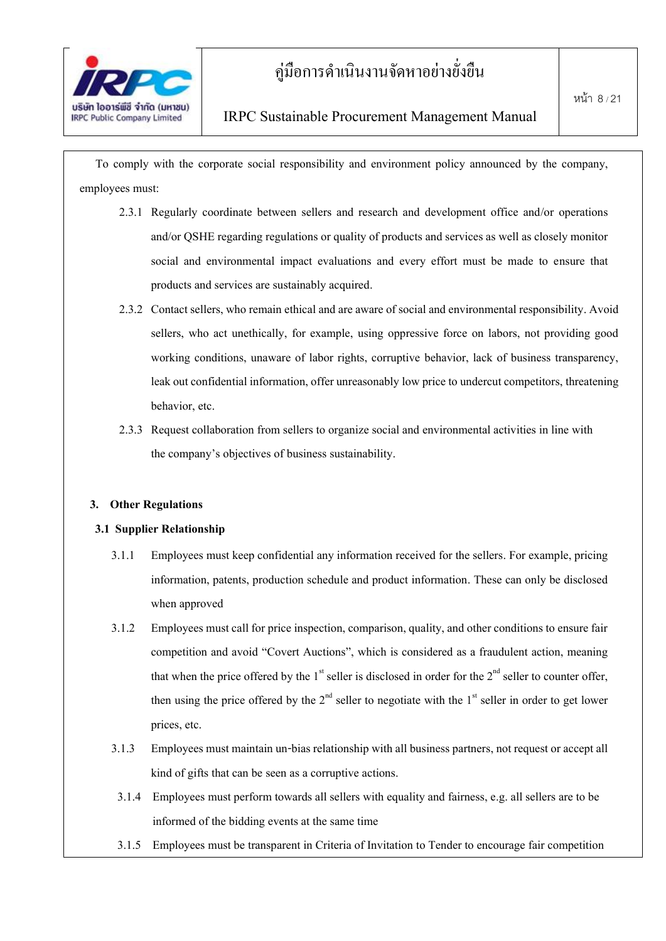

To comply with the corporate social responsibility and environment policy announced by the company, employees must:

- 2.3.1 Regularly coordinate between sellers and research and development office and/or operations and/or QSHE regarding regulations or quality of products and services as well as closely monitor social and environmental impact evaluations and every effort must be made to ensure that products and services are sustainably acquired.
- 2.3.2 Contact sellers, who remain ethical and are aware of social and environmental responsibility. Avoid sellers, who act unethically, for example, using oppressive force on labors, not providing good working conditions, unaware of labor rights, corruptive behavior, lack of business transparency, leak out confidential information, offer unreasonably low price to undercut competitors, threatening behavior, etc.
- 2.3.3 Request collaboration from sellers to organize social and environmental activities in line with the company's objectives of business sustainability.

#### **3. Other Regulations**

#### **3.1 Supplier Relationship**

- 3.1.1 Employees must keep confidential any information received for the sellers. For example, pricing information, patents, production schedule and product information. These can only be disclosed when approved
- 3.1.2 Employees must call for price inspection, comparison, quality, and other conditions to ensure fair competition and avoid "Covert Auctions", which is considered as a fraudulent action, meaning that when the price offered by the  $1<sup>st</sup>$  seller is disclosed in order for the  $2<sup>nd</sup>$  seller to counter offer, then using the price offered by the  $2<sup>nd</sup>$  seller to negotiate with the  $1<sup>st</sup>$  seller in order to get lower prices, etc.
- 3.1.3 Employees must maintain un-bias relationship with all business partners, not request or accept all kind of gifts that can be seen as a corruptive actions.
- 3.1.4 Employees must perform towards all sellers with equality and fairness, e.g. all sellers are to be informed of the bidding events at the same time
- 3.1.5 Employees must be transparent in Criteria of Invitation to Tender to encourage fair competition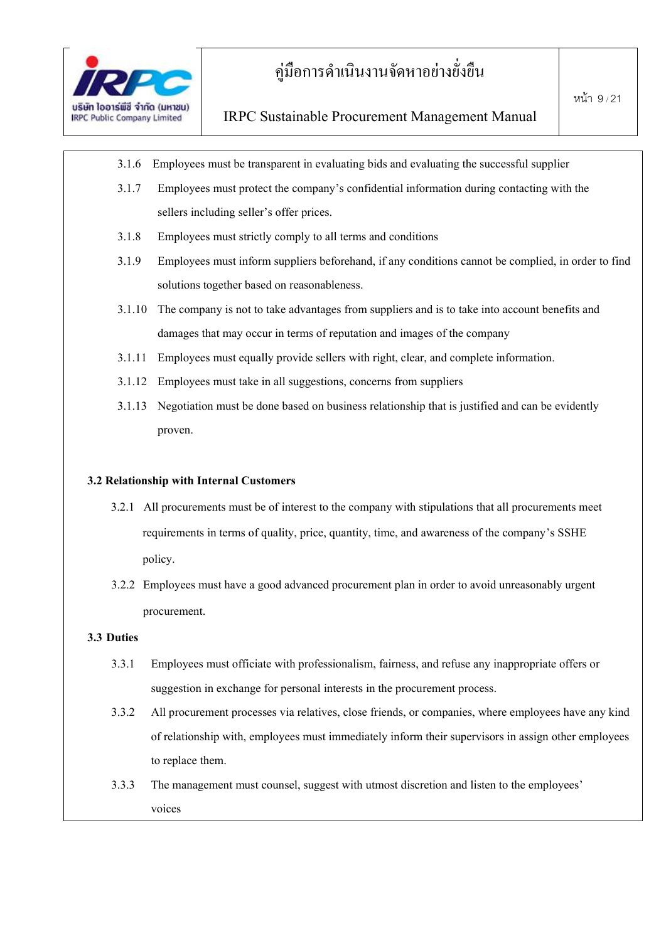

- 3.1.6 Employees must be transparent in evaluating bids and evaluating the successful supplier
- 3.1.7 Employees must protect the company's confidential information during contacting with the sellers including seller's offer prices.
- 3.1.8 Employees must strictly comply to all terms and conditions
- 3.1.9 Employees must inform suppliers beforehand, if any conditions cannot be complied, in order to find solutions together based on reasonableness.
- 3.1.10 The company is not to take advantages from suppliers and is to take into account benefits and damages that may occur in terms of reputation and images of the company
- 3.1.11 Employees must equally provide sellers with right, clear, and complete information.
- 3.1.12 Employees must take in all suggestions, concerns from suppliers
- 3.1.13 Negotiation must be done based on business relationship that is justified and can be evidently proven.

#### **3.2 Relationship withInternal Customers**

- 3.2.1 All procurements must be of interest to the company with stipulations that all procurements meet requirements in terms of quality, price, quantity, time, and awareness of the company's SSHE policy.
- 3.2.2 Employees musthave a good advanced procurement plan in order to avoid unreasonably urgent procurement.

#### **3.3 Duties**

- 3.3.1 Employees must officiate with professionalism, fairness, and refuse any inappropriate offers or suggestion in exchange for personal interests in the procurement process.
- 3.3.2 All procurement processes via relatives, close friends, or companies, where employees have any kind of relationship with, employees must immediately inform their supervisors in assign other employees to replace them.
- 3.3.3 The management must counsel, suggest with utmost discretion and listen to the employees' voices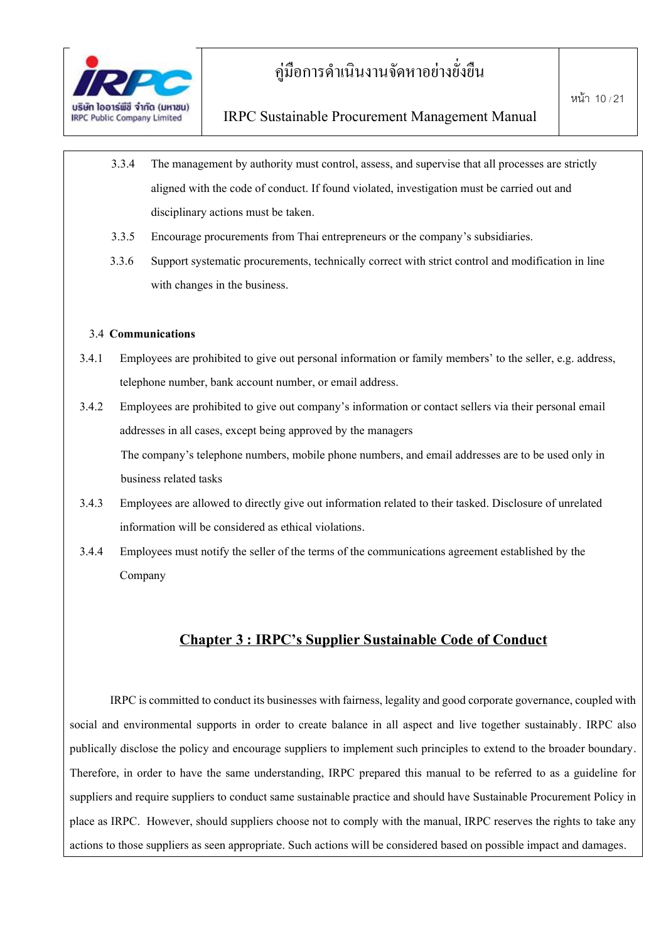

- 3.3.4 The management by authority must control, assess, and supervise that all processes are strictly aligned with the code of conduct. If found violated, investigation must be carried out and disciplinary actions must be taken.
- 3.3.5 Encourage procurements from Thai entrepreneurs or the company's subsidiaries.
- 3.3.6 Support systematic procurements, technically correct with strict control and modification in line with changes in the business.

#### 3.4 **Communications**

- 3.4.1 Employees are prohibited to give out personal information or family members' to the seller, e.g. address, telephone number, bank account number, or email address.
- 3.4.2 Employees are prohibited to give out company's information or contact sellers via their personal email addresses in all cases, except being approved by the managers The company's telephone numbers, mobile phone numbers, and email addresses are to be used only in business related tasks
- 3.4.3 Employees are allowed to directly give out information related to their tasked. Disclosure of unrelated information will be considered as ethical violations.
- 3.4.4 Employees mustnotify the seller of the terms of the communications agreement established by the Company

### **Chapter 3 : IRPC's Supplier Sustainable Code of Conduct**

IRPC is committed to conduct its businesses with fairness, legality and good corporate governance, coupled with social and environmental supports in order to create balance in all aspect and live together sustainably. IRPC also publically disclose the policy and encourage suppliers to implement such principles to extend to the broader boundary. Therefore, in order to have the same understanding, IRPC prepared this manual to be referred to as a guideline for suppliers and require suppliers to conduct same sustainable practice and should have Sustainable Procurement Policy in place as IRPC. However, should suppliers choose not to comply with the manual, IRPC reserves the rights to take any actions to those suppliers as seen appropriate. Such actions will be considered based on possible impact and damages.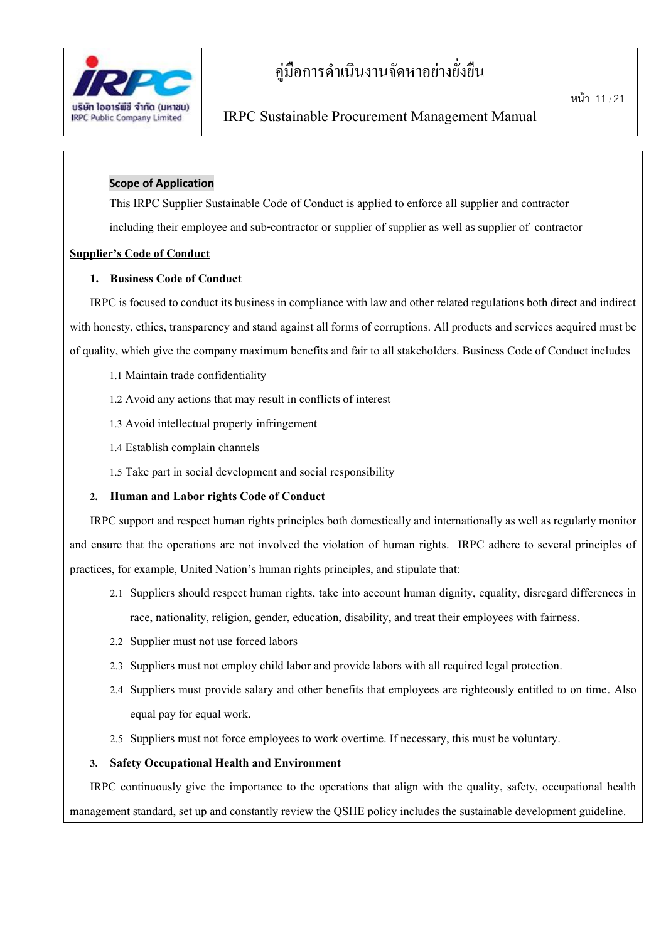

#### **Scope of Application**

This IRPC Supplier Sustainable Code of Conduct is applied to enforce all supplier and contractor

including their employee and sub-contractor or supplier of supplier as well as supplier of contractor

#### **Supplier's Code of Conduct**

#### **1. Business Code of Conduct**

IRPC is focused to conduct its business in compliance with law and other related regulations both direct and indirect with honesty, ethics, transparency and stand against all forms of corruptions. All products and services acquired must be of quality, which give the company maximum benefits and fair to all stakeholders. Business Code of Conduct includes

- 1.1 Maintain trade confidentiality
- 1.2 Avoid any actions that may result in conflicts of interest
- 1.3 Avoid intellectual property infringement
- 1.4 Establish complain channels
- 1.5 Take part in social development and social responsibility

#### **2. Human and Labor rights Code of Conduct**

IRPC support and respect human rights principles both domestically and internationally as well as regularly monitor and ensure that the operations are not involved the violation of human rights. IRPC adhere to several principles of practices, for example, United Nation's human rights principles, and stipulate that:

- 2.1 Suppliers should respect human rights, take into account human dignity, equality, disregard differences in race, nationality, religion, gender, education, disability, and treat their employees with fairness.
- 2.2 Supplier must not use forced labors
- 2.3 Suppliers must not employ child labor and provide labors with all required legal protection.
- 2.4 Suppliers must provide salary and other benefits that employees are righteously entitled to on time. Also equal pay for equal work.
- 2.5 Suppliers must not force employees to work overtime. If necessary, this must be voluntary.

#### **3. Safety Occupational Health and Environment**

IRPC continuously give the importance to the operations that align with the quality, safety, occupational health management standard, set up and constantly review the QSHE policy includes the sustainable development guideline.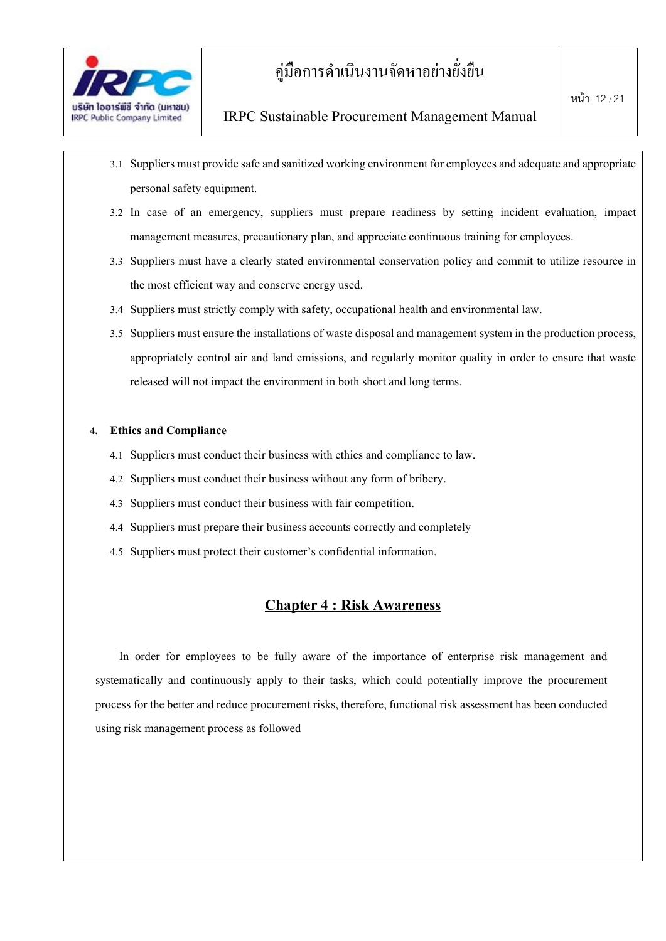

- 3.1 Suppliers must provide safe and sanitized working environment for employees and adequate and appropriate personal safety equipment.
- 3.2 In case of an emergency, suppliers must prepare readiness by setting incident evaluation, impact management measures, precautionary plan, and appreciate continuous training for employees.
- 3.3 Suppliers must have a clearly stated environmental conservation policy and commit to utilize resource in the most efficient way and conserve energy used.
- 3.4 Suppliers must strictly comply with safety, occupational health and environmental law.
- 3.5 Suppliers must ensure the installations of waste disposal and management system in the production process, appropriately control air and land emissions, and regularly monitor quality in order to ensure that waste released will not impact the environment in both short and long terms.

#### **4. Ethics and Compliance**

- 4.1 Suppliers must conduct their business with ethics and compliance to law.
- 4.2 Suppliers must conduct their business without any form of bribery.
- 4.3 Suppliers must conduct their business with fair competition.
- 4.4 Suppliers must prepare their business accounts correctly and completely
- 4.5 Suppliers must protect their customer's confidential information.

#### **Chapter 4 : Risk Awareness**

In order for employees to be fully aware of the importance of enterprise risk management and systematically and continuously apply to their tasks, which could potentially improve the procurement process for the better and reduce procurement risks, therefore, functional risk assessment has been conducted using risk management process as followed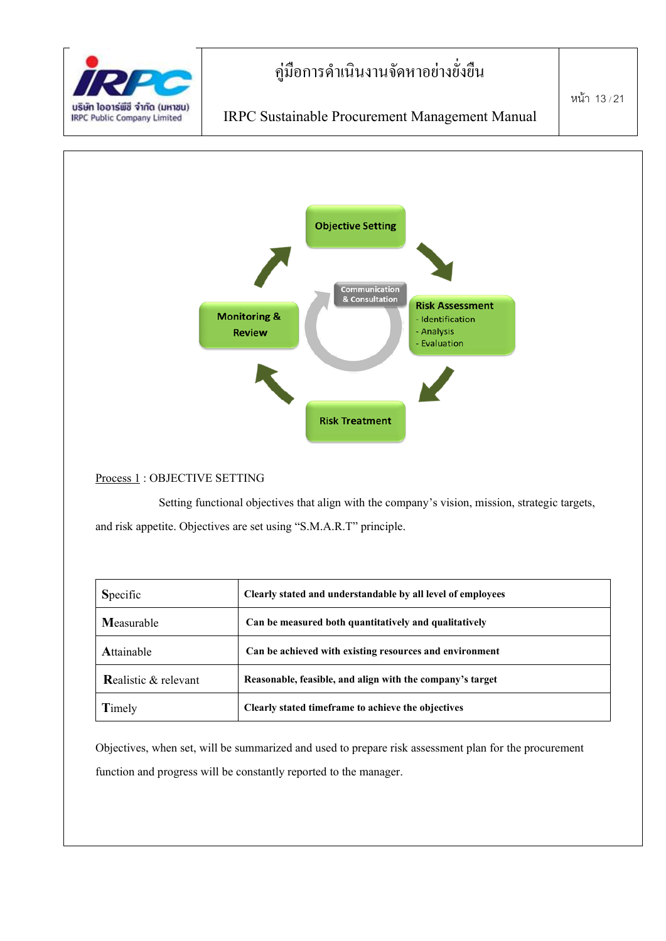



Process1 : OBJECTIVE SETTING

Setting functional objectives that align with the company's vision, mission, strategic targets, and risk appetite. Objectives are set using "S.M.A.R.T" principle.

| Specific                        | Clearly stated and understandable by all level of employees |
|---------------------------------|-------------------------------------------------------------|
| Measurable                      | Can be measured both quantitatively and qualitatively       |
| Attainable                      | Can be achieved with existing resources and environment     |
| <b>Realistic &amp; relevant</b> | Reasonable, feasible, and align with the company's target   |
| Timely                          | Clearly stated timeframe to achieve the objectives          |

Objectives, when set, will be summarized and used to prepare risk assessment plan for the procurement function and progress will be constantly reported to the manager.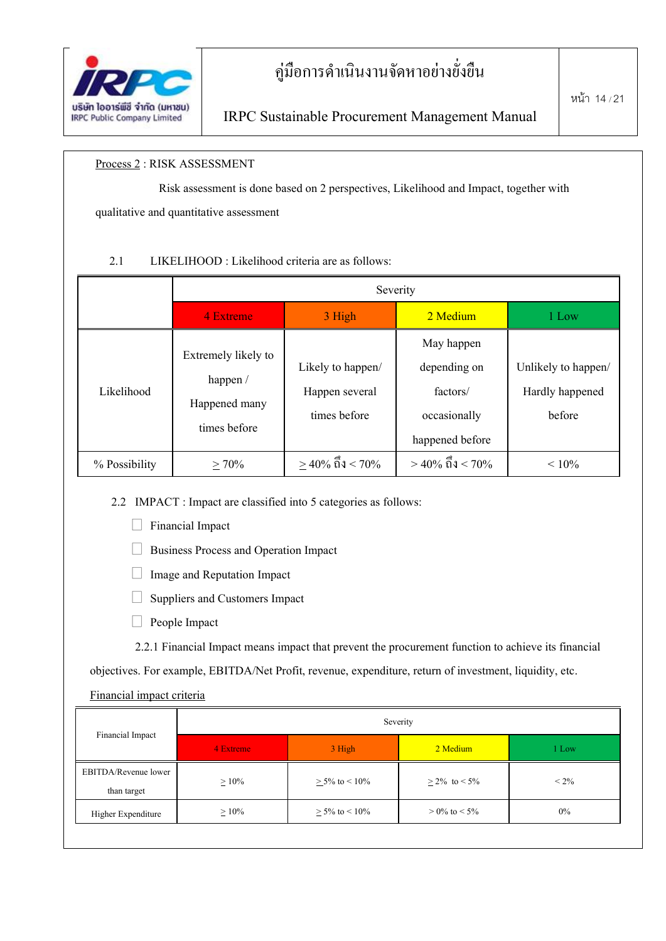

#### Process2 : RISK ASSESSMENT

Risk assessment is done based on 2 perspectives, Likelihood and Impact, together with qualitative and quantitative assessment

#### 2.1 LIKELIHOOD : Likelihood criteria are as follows:

|               |                                                                  |                                                     | Severity                                                                  |                                                  |
|---------------|------------------------------------------------------------------|-----------------------------------------------------|---------------------------------------------------------------------------|--------------------------------------------------|
|               | 4 Extreme                                                        | 3 High                                              | 2 Medium                                                                  | 1 Low                                            |
| Likelihood    | Extremely likely to<br>happen /<br>Happened many<br>times before | Likely to happen/<br>Happen several<br>times before | May happen<br>depending on<br>factors/<br>occasionally<br>happened before | Unlikely to happen/<br>Hardly happened<br>before |
| % Possibility | $> 70\%$                                                         | $>$ 40% ถึง < 70%                                   | $>$ 40% ถึง < 70%                                                         | $< 10\%$                                         |

2.2 IMPACT : Impact are classified into 5 categories as follows:

 $\Box$  Financial Impact

Business Process and Operation Impact

 $\Box$  Image and Reputation Impact

 $\Box$  Suppliers and Customers Impact

 $\Box$  People Impact

2.2.1 Financial Impact means impact that prevent the procurement function to achieve its financial

objectives. For example, EBITDA/Net Profit, revenue, expenditure, return of investment, liquidity, etc.

#### Financial impact criteria

|                                     | Severity  |                     |                    |         |  |  |
|-------------------------------------|-----------|---------------------|--------------------|---------|--|--|
| Financial Impact                    | 4 Extreme | 3 High              | 2 Medium           | 1 Low   |  |  |
| EBITDA/Revenue lower<br>than target | $>10\%$   | $> 5\%$ to $< 10\%$ | $> 2\%$ to $< 5\%$ | $< 2\%$ |  |  |
| Higher Expenditure                  | $>10\%$   | $> 5\%$ to $< 10\%$ | $> 0\%$ to $< 5\%$ | $0\%$   |  |  |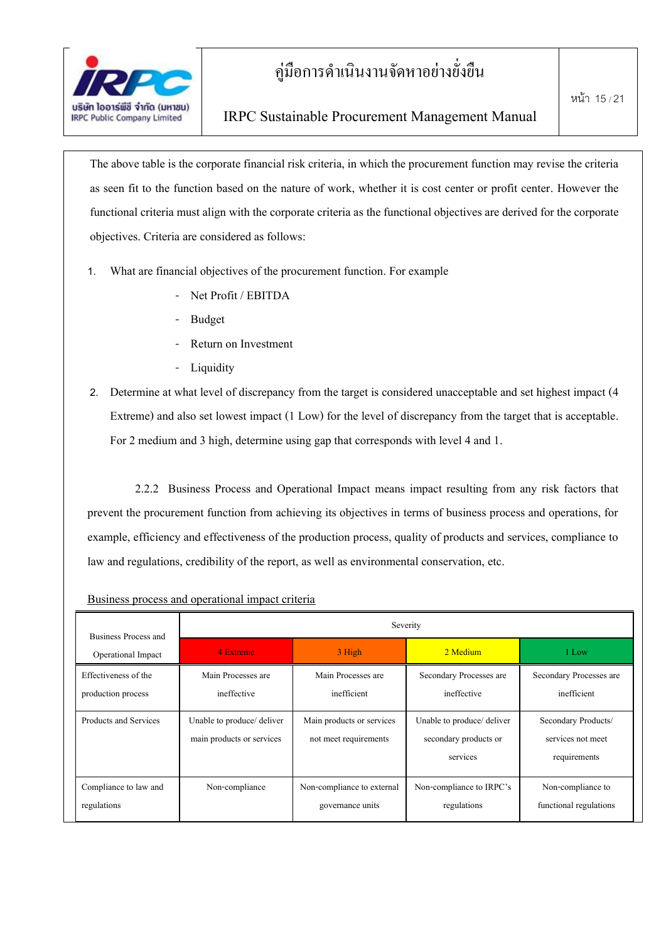

The above table is the corporate financial risk criteria, in which the procurement function may revise the criteria as seen fit to the function based on the nature of work, whether it is cost center or profit center. However the functional criteria must align with the corporate criteria as the functional objectives are derived for the corporate objectives. Criteria are considered as follows:

- 1. What are financial objectives of the procurement function. For example
	- Net Profit / EBITDA
	- **Budget**
	- Return on Investment
	- Liquidity

2. Determine at what level of discrepancy from the target is considered unacceptable and set highest impact (4 Extreme) and also set lowest impact (1 Low) for the level of discrepancy from the target that is acceptable. For 2 medium and 3 high, determine using gap that corresponds with level 4 and 1.

2.2.2 Business Process and Operational Impact means impact resulting from any risk factors that prevent the procurement function from achieving its objectives in terms of business process and operations, for example, efficiency and effectiveness of the production process, quality of products and services, compliance to law and regulations, credibility of the report, as well as environmental conservation, etc.

| Business Process and                       | Severity                                                               |                                                    |                                                                 |                                                          |  |  |  |
|--------------------------------------------|------------------------------------------------------------------------|----------------------------------------------------|-----------------------------------------------------------------|----------------------------------------------------------|--|--|--|
| Operational Impact                         | 4 Extreme                                                              | 3 High                                             | 2 Medium                                                        | 1 Low                                                    |  |  |  |
| Effectiveness of the<br>production process | Main Processes are<br>Main Processes are<br>inefficient<br>ineffective |                                                    | Secondary Processes are<br>ineffective                          | Secondary Processes are<br>inefficient                   |  |  |  |
| Products and Services                      | Unable to produce/ deliver<br>main products or services                | Main products or services<br>not meet requirements | Unable to produce/ deliver<br>secondary products or<br>services | Secondary Products/<br>services not meet<br>requirements |  |  |  |
| Compliance to law and<br>regulations       | Non-compliance                                                         | Non-compliance to external<br>governance units     | Non-compliance to IRPC's<br>regulations                         | Non-compliance to<br>functional regulations              |  |  |  |

Business process and operational impact criteria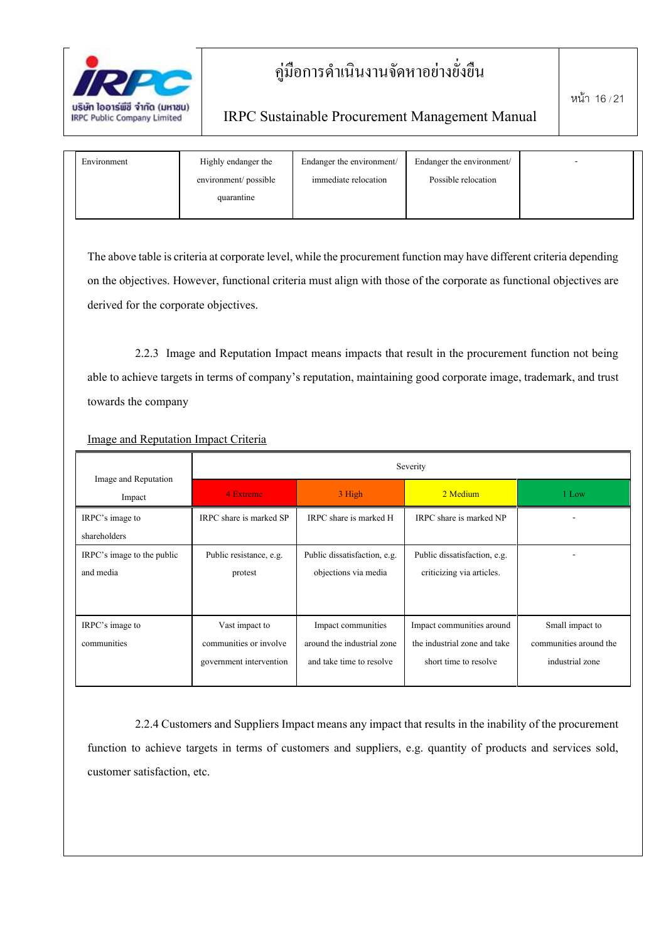

### IRPC Sustainable Procurement Management Manual

| Environment | Highly endanger the   | Endanger the environment/ | Endanger the environment/ | - |  |
|-------------|-----------------------|---------------------------|---------------------------|---|--|
|             | environment/ possible | immediate relocation      | Possible relocation       |   |  |
|             | quarantine            |                           |                           |   |  |
|             |                       |                           |                           |   |  |

The above table is criteria at corporate level, while the procurement function may have different criteria depending on the objectives. However, functional criteria must align with those of the corporate as functional objectives are derived for the corporate objectives.

2.2.3 Image and Reputation Impact means impacts that result in the procurement function not being able to achieve targets in terms of company's reputation, maintaining good corporate image, trademark, and trust towards the company

| Image and Reputation                    | Severity                                                            |                                                                              |                                                                                    |                                                              |  |  |
|-----------------------------------------|---------------------------------------------------------------------|------------------------------------------------------------------------------|------------------------------------------------------------------------------------|--------------------------------------------------------------|--|--|
| Impact                                  | 4 Extreme                                                           | 3 High                                                                       | 2 Medium                                                                           | 1 Low                                                        |  |  |
| IRPC's image to<br>shareholders         | IRPC share is marked SP                                             | IRPC share is marked H                                                       | IRPC share is marked NP                                                            |                                                              |  |  |
| IRPC's image to the public<br>and media | Public resistance, e.g.<br>protest                                  | Public dissatisfaction, e.g.<br>objections via media                         | Public dissatisfaction, e.g.<br>criticizing via articles.                          | ۰                                                            |  |  |
| IRPC's image to<br>communities          | Vast impact to<br>communities or involve<br>government intervention | Impact communities<br>around the industrial zone<br>and take time to resolve | Impact communities around<br>the industrial zone and take<br>short time to resolve | Small impact to<br>communities around the<br>industrial zone |  |  |

Image and Reputation Impact Criteria

2.2.4 Customers and Suppliers Impact means any impact that results in the inability of the procurement function to achieve targets in terms of customers and suppliers, e.g. quantity of products and services sold, customer satisfaction, etc.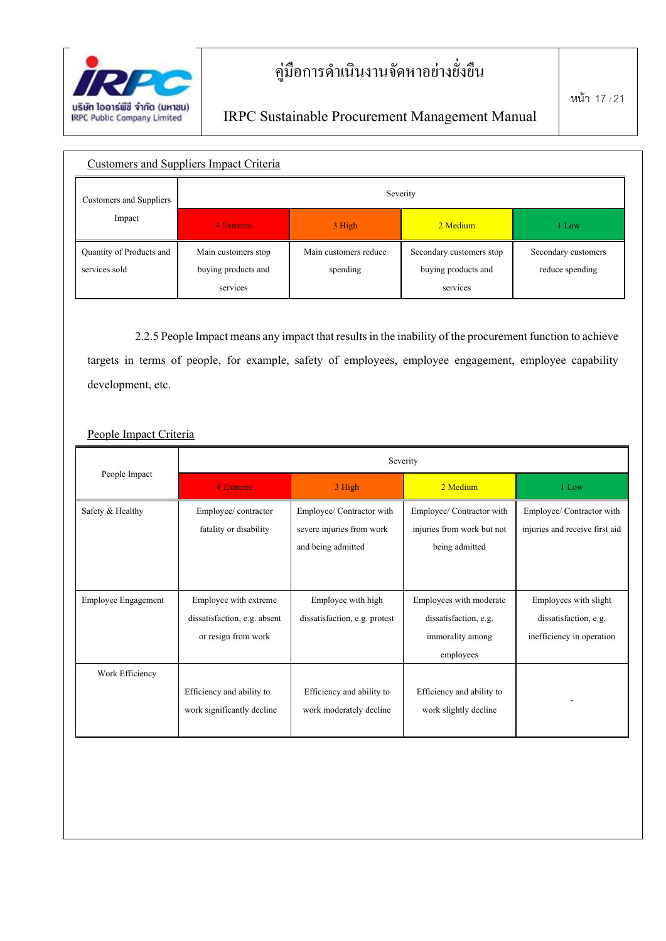

| <b>Customers and Suppliers Impact Criteria</b> |                     |                       |                          |                     |  |  |  |
|------------------------------------------------|---------------------|-----------------------|--------------------------|---------------------|--|--|--|
| Customers and Suppliers                        | Severity            |                       |                          |                     |  |  |  |
| Impact                                         | 4 Extreme           | 3 High                | 2 Medium                 | 1 Low               |  |  |  |
| Quantity of Products and                       | Main customers stop | Main customers reduce | Secondary customers stop | Secondary customers |  |  |  |
| services sold                                  | buying products and | spending              | buying products and      | reduce spending     |  |  |  |
|                                                | services            |                       | services                 |                     |  |  |  |

2.2.5 People Impact means any impact that results in the inability of the procurement function to achieve targets in terms of people, for example, safety of employees, employee engagement, employee capability development, etc.

#### People Impact Criteria

|                     | Severity                     |                               |                            |                                |  |  |  |
|---------------------|------------------------------|-------------------------------|----------------------------|--------------------------------|--|--|--|
| People Impact       | 4 Extreme<br>3 High          |                               | 2 Medium                   | 1 Low                          |  |  |  |
| Safety & Healthy    | Employee/contractor          | Employee/ Contractor with     | Employee/ Contractor with  | Employee/ Contractor with      |  |  |  |
|                     | fatality or disability       | severe injuries from work     | injuries from work but not | injuries and receive first aid |  |  |  |
|                     |                              | and being admitted            | being admitted             |                                |  |  |  |
|                     |                              |                               |                            |                                |  |  |  |
|                     |                              |                               |                            |                                |  |  |  |
| Employee Engagement | Employee with extreme        | Employee with high            | Employees with moderate    | Employees with slight          |  |  |  |
|                     | dissatisfaction, e.g. absent | dissatisfaction, e.g. protest | dissatisfaction, e.g.      | dissatisfaction, e.g.          |  |  |  |
|                     | or resign from work          |                               | immorality among           | inefficiency in operation      |  |  |  |
|                     |                              |                               | employees                  |                                |  |  |  |
| Work Efficiency     |                              |                               |                            |                                |  |  |  |
|                     | Efficiency and ability to    | Efficiency and ability to     | Efficiency and ability to  |                                |  |  |  |
|                     | work significantly decline   | work moderately decline       | work slightly decline      |                                |  |  |  |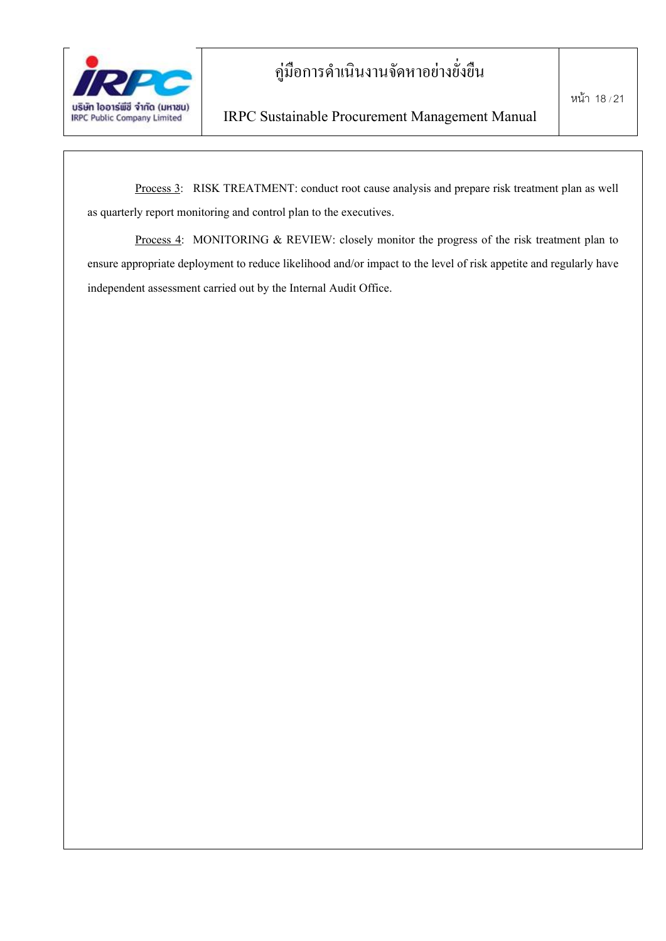

Process 3: RISK TREATMENT: conduct root cause analysis and prepare risk treatment plan as well as quarterly report monitoring and control plan to the executives.

Process 4: MONITORING & REVIEW: closely monitor the progress of the risk treatment plan to ensure appropriate deployment to reduce likelihood and/or impact to the level of risk appetite and regularly have independent assessment carried out by the Internal Audit Office.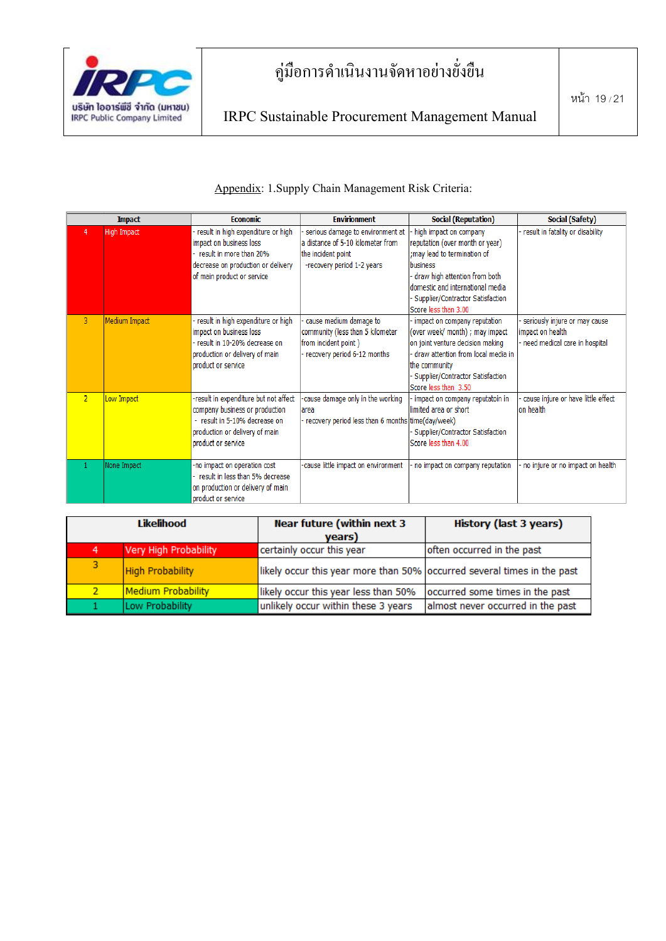

#### Appendix: 1.Supply Chain Management Risk Criteria:

|                | <b>Impact</b>      | <b>Economic</b>                                                                                                                                                  | <b>Envirionment</b>                                                                                                       | <b>Social (Reputation)</b>                                                                                                                                                                                                               | Social (Safety)                                                                    |
|----------------|--------------------|------------------------------------------------------------------------------------------------------------------------------------------------------------------|---------------------------------------------------------------------------------------------------------------------------|------------------------------------------------------------------------------------------------------------------------------------------------------------------------------------------------------------------------------------------|------------------------------------------------------------------------------------|
| 4              | <b>High Impact</b> | result in high expenditure or high<br>impact on business loss<br>result in more than 20%<br>decrease on production or delivery<br>of main product or service     | serious damage to environment at<br>a distance of 5-10 kilometer from<br>the incident point<br>-recovery period 1-2 years | high impact on company<br>reputation (over month or year)<br>; may lead to termination of<br>business<br>draw high attention from both<br>domestic and international media<br>- Supplier/Contractor Satisfaction<br>Score less than 3.00 | result in fatality or disability                                                   |
| 3              | Medium Impact      | result in high expenditure or high<br>impact on business loss<br>result in 10-20% decrease on<br>production or delivery of main<br>product or service            | cause medium damage to<br>community (less than 5 kilometer<br>from incident point)<br>- recovery period 6-12 months       | impact on company reputation<br>(over week/ month) ; may impact<br>on joint venture decision making<br>draw attention from local media in<br>the community<br>Supplier/Contractor Satisfaction<br>Score less than 3.50                   | seriously injure or may cause<br>impact on health<br>need medical care in hospital |
| $\overline{2}$ | Low Impact         | -result in expenditure but not affect<br>company business or production<br>- result in 5-10% decrease on<br>production or delivery of main<br>product or service | cause damage only in the working<br>area<br>- recovery period less than 6 months time(day/week)                           | impact on company reputatoin in<br>limited area or short<br>Supplier/Contractor Satisfaction<br>Score less than 4.00                                                                                                                     | cause injure or have little effect<br>lon health                                   |
|                | None Impact        | -no impact on operation cost<br>result in less than 5% decrease<br>on production or delivery of main<br>product or service                                       | -cause little impact on environment                                                                                       | no impact on company reputation                                                                                                                                                                                                          | no injure or no impact on health                                                   |

| Likelihood     |                         | <b>Near future (within next 3</b><br>years)                             | History (last 3 years)            |  |
|----------------|-------------------------|-------------------------------------------------------------------------|-----------------------------------|--|
| 4              | Very High Probability   | certainly occur this year                                               | often occurred in the past        |  |
| 3              | <b>High Probability</b> | likely occur this year more than 50% occurred several times in the past |                                   |  |
| $\overline{2}$ | Medium Probability      | likely occur this year less than 50%                                    | occurred some times in the past   |  |
|                | Low Probability         | unlikely occur within these 3 years                                     | almost never occurred in the past |  |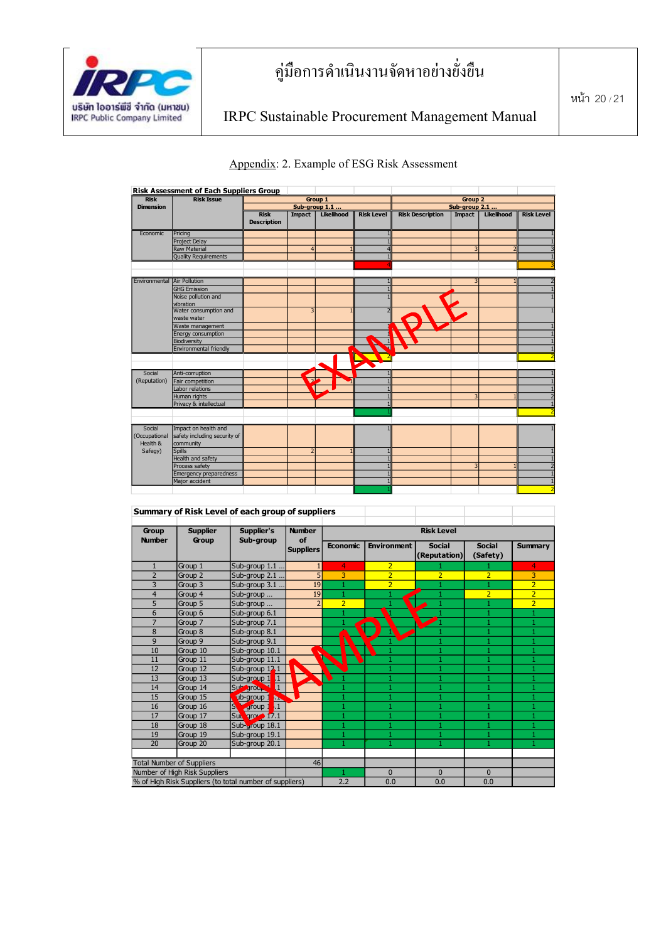





|                        |                                  | Summary of Risk Level of each group of suppliers        |                     |                 |                    |                               |                           |                |
|------------------------|----------------------------------|---------------------------------------------------------|---------------------|-----------------|--------------------|-------------------------------|---------------------------|----------------|
| Group<br><b>Number</b> | <b>Supplier</b><br>Group         | Supplier's<br>Sub-group                                 | <b>Number</b><br>of |                 |                    | <b>Risk Level</b>             |                           |                |
|                        |                                  |                                                         | <b>Suppliers</b>    | <b>Economic</b> | <b>Environment</b> | <b>Social</b><br>(Reputation) | <b>Social</b><br>(Safety) | <b>Summary</b> |
| $\mathbf{1}$           | Group 1                          | Sub-group 1.1                                           | 1                   | 4               | $\overline{2}$     |                               |                           | 4              |
| $\overline{2}$         | Group 2                          | Sub-group 2.1                                           | 5 <sup>1</sup>      | 3               | $\overline{2}$     | $\overline{2}$                | $\overline{2}$            | 3              |
| 3                      | Group 3                          | Sub-group 3.1                                           | 19                  |                 | $\overline{2}$     |                               |                           | $\overline{2}$ |
| $\overline{4}$         | Group 4                          | Sub-group                                               | 19                  |                 |                    |                               | $\overline{2}$            | $\overline{2}$ |
| 5                      | Group 5                          | Sub-group                                               | $\overline{2}$      | $\overline{2}$  |                    |                               |                           | $\overline{2}$ |
| 6                      | Group 6                          | Sub-group 6.1                                           |                     |                 | ч                  |                               |                           |                |
| $\overline{7}$         | Group 7                          | Sub-group 7.1                                           |                     |                 |                    |                               |                           | 1              |
| 8                      | Group 8                          | Sub-group 8.1                                           |                     |                 |                    |                               |                           | 1              |
| 9                      | Group 9                          | Sub-group 9.1                                           |                     |                 |                    |                               |                           | 1              |
| 10                     | Group 10                         | Sub-group 10.1                                          |                     |                 |                    |                               |                           | 1              |
| 11                     | Group 11                         | Sub-group 11.1                                          |                     |                 |                    | 1                             | 1                         | 1              |
| 12                     | Group 12                         | Sub-group 12.1                                          |                     |                 |                    | 1                             |                           | 1              |
| 13                     | Group 13                         | Sub-group 1<br>L1.                                      |                     |                 |                    | 1                             |                           | 1              |
| 14                     | Group 14                         | $\overline{1}$<br>Sub group                             |                     |                 | 1                  | 1                             |                           | 1              |
| 15                     | Group 15                         | ub-group 1<br>ъ.                                        |                     |                 |                    | 1                             |                           | 1              |
| 16                     | Group 16                         | $\mathbf{\hat{s}}$<br>$\mathbf{1}$<br>group 1           |                     |                 |                    | 1                             |                           |                |
| 17                     | Group 17                         | Sub group 17.1                                          |                     |                 |                    | $\mathbf{1}$                  |                           | 1              |
| 18                     | Group 18                         | Sub-group 18.1                                          |                     |                 | $\mathbf{1}$       | 1                             |                           | $\mathbf{1}$   |
| 19                     | Group 19                         | Sub-group 19.1                                          |                     |                 |                    | $\mathbf{1}$                  |                           | 1              |
| 20                     | Group 20                         | Sub-group 20.1                                          |                     |                 | 1                  | 1                             |                           | 1              |
|                        | <b>Total Number of Suppliers</b> |                                                         | 46                  |                 |                    |                               |                           |                |
|                        | Number of High Risk Suppliers    |                                                         |                     |                 | $\Omega$           | $\Omega$                      | $\Omega$                  |                |
|                        |                                  | % of High Risk Suppliers (to total number of suppliers) |                     | 2.2             | 0.0                | 0.0                           | 0.0                       |                |